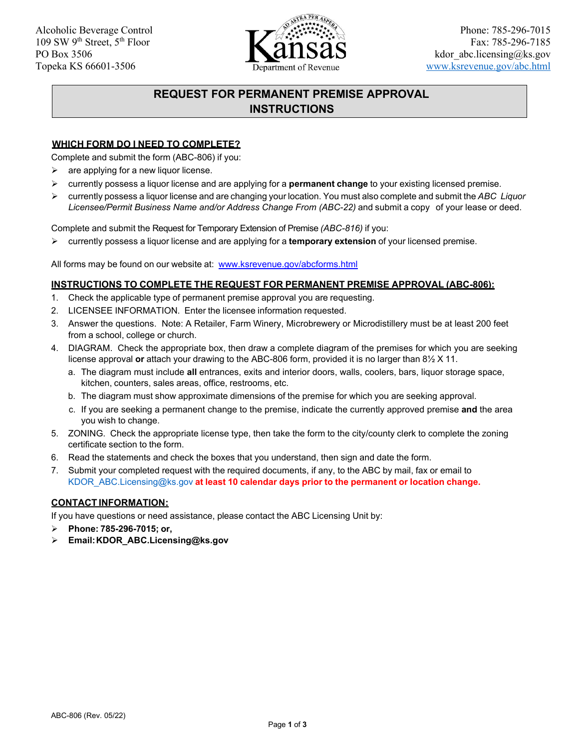

# **REQUEST FOR PERMANENT PREMISE APPROVAL INSTRUCTIONS**

#### **WHICH FORM DO I NEED TO COMPLETE?**

Complete and submit the form (ABC-806) if you:

- $\triangleright$  are applying for a new liquor license.
- ➢ currently possess a liquor license and are applying for a **permanent change** to your existing licensed premise.
- ➢ currently possess a liquor license and are changing your location. You must also complete and submit the *ABC Liquor* Licensee/Permit Business Name and/or Address Change From (ABC-22) and submit a copy of your lease or deed.

Complete and submit the Request for Temporary Extension of Premise *(ABC-816)* if you:

➢ currently possess a liquor license and are applying for a **temporary extension** of your licensed premise.

All forms may be found on our website at: [www.ksrevenue.gov/abcforms.html](http://www.ksrevenue.gov/abcforms.html) 

#### **INSTRUCTIONS TO COMPLETE THE REQUEST FOR PERMANENT PREMISE APPROVAL (ABC-806):**

- 1. Check the applicable type of permanent premise approval you are requesting.
- 2. LICENSEE INFORMATION. Enter the licensee information requested.
- 3. Answer the questions. Note: A Retailer, Farm Winery, Microbrewery or Microdistillery must be at least 200 feet from a school, college or church.
- 4. DIAGRAM. Check the appropriate box, then draw a complete diagram of the premises for which you are seeking license approval **or** attach your drawing to the ABC-806 form, provided it is no larger than 8½ X 11.
	- a. The diagram must include **all** entrances, exits and interior doors, walls, coolers, bars, liquor storage space, kitchen, counters, sales areas, office, restrooms, etc.
	- b. The diagram must show approximate dimensions of the premise for which you are seeking approval.
	- c. If you are seeking a permanent change to the premise, indicate the currently approved premise **and** the area you wish to change.
- 5. ZONING. Check the appropriate license type, then take the form to the city/county clerk to complete the zoning certificate section to the form.
- 6. Read the statements and check the boxes that you understand, then sign and date the form.
- 7. Submit your completed request with the required documents, if any, to the ABC by mail, fax or email to [KDOR\\_ABC.Licensing@ks.gov](mailto:KDOR_ABC.Licensing@ks.gov) **at least 10 calendar days prior to the permanent or location change.**

#### **CONTACT INFORMATION:**

If you have questions or need assistance, please contact the ABC Licensing Unit by:

- ➢ **Phone: 785-296-7015; or,**
- ➢ **Email[:KDOR\\_ABC.Licensing@ks.gov](mailto:KDOR_ABC.Licensing@ks.gov)**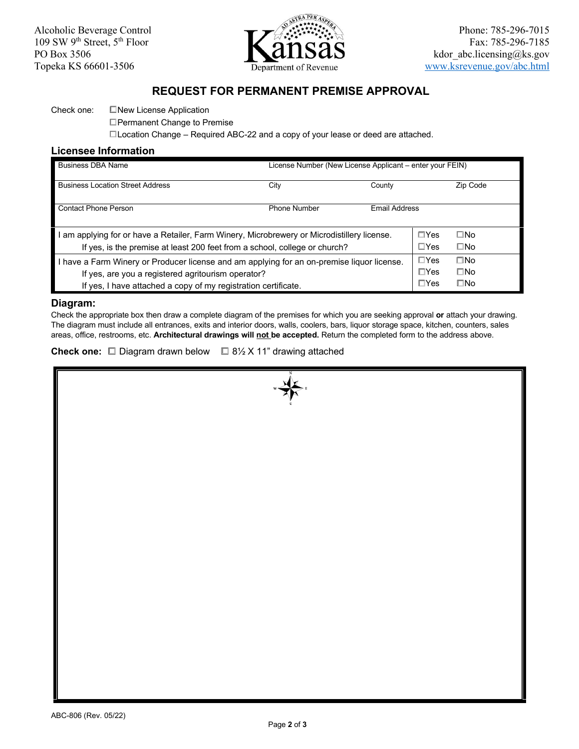

## **REQUEST FOR PERMANENT PREMISE APPROVAL**

#### Check one: ☐New License Application

☐Permanent Change to Premise

☐Location Change – Required ABC-22 and a copy of your lease or deed are attached.

### **Licensee Information**

| <b>Business DBA Name</b>                                                                                                                                                                                           | License Number (New License Applicant – enter your FEIN) |                      |                                         |                                              |
|--------------------------------------------------------------------------------------------------------------------------------------------------------------------------------------------------------------------|----------------------------------------------------------|----------------------|-----------------------------------------|----------------------------------------------|
| <b>Business Location Street Address</b>                                                                                                                                                                            | City                                                     | County               |                                         | Zip Code                                     |
| <b>Contact Phone Person</b>                                                                                                                                                                                        | <b>Phone Number</b>                                      | <b>Email Address</b> |                                         |                                              |
| am applying for or have a Retailer, Farm Winery, Microbrewery or Microdistillery license.<br>If yes, is the premise at least 200 feet from a school, college or church?                                            |                                                          |                      | $\square$ Yes<br>$\Box$ Yes             | $\square$ No<br>$\square$ No                 |
| I have a Farm Winery or Producer license and am applying for an on-premise liquor license.<br>If yes, are you a registered agritourism operator?<br>If yes, I have attached a copy of my registration certificate. |                                                          |                      | $\Box$ Yes<br>$\Box$ Yes<br>$\Box Y$ es | $\square$ No<br>$\square$ No<br>$\square$ No |

#### **Diagram:**

 Check the appropriate box then draw a complete diagram of the premises for which you are seeking approval **or** attach your drawing. The diagram must include all entrances, exits and interior doors, walls, coolers, bars, liquor storage space, kitchen, counters, sales areas, office, restrooms, etc. **Architectural drawings will <u>not </u>be accepted.** Return the completed form to the address above.

**Check one:** ☐ Diagram drawn below ☐ 8½ X 11" drawing attached